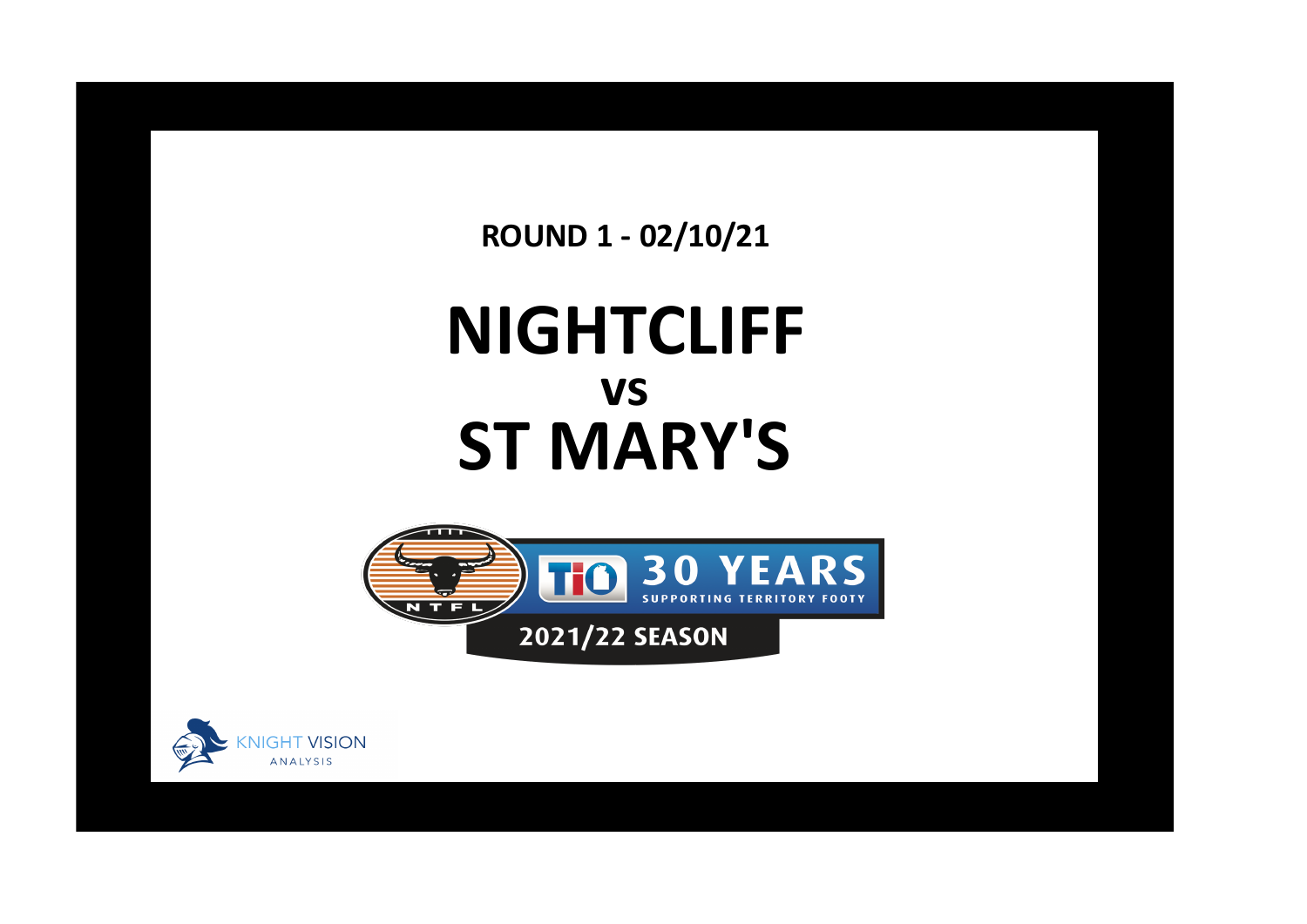**ROUND 1 - 02/10/21**

## **NIGHTCLIFF ST MARY'S vs**



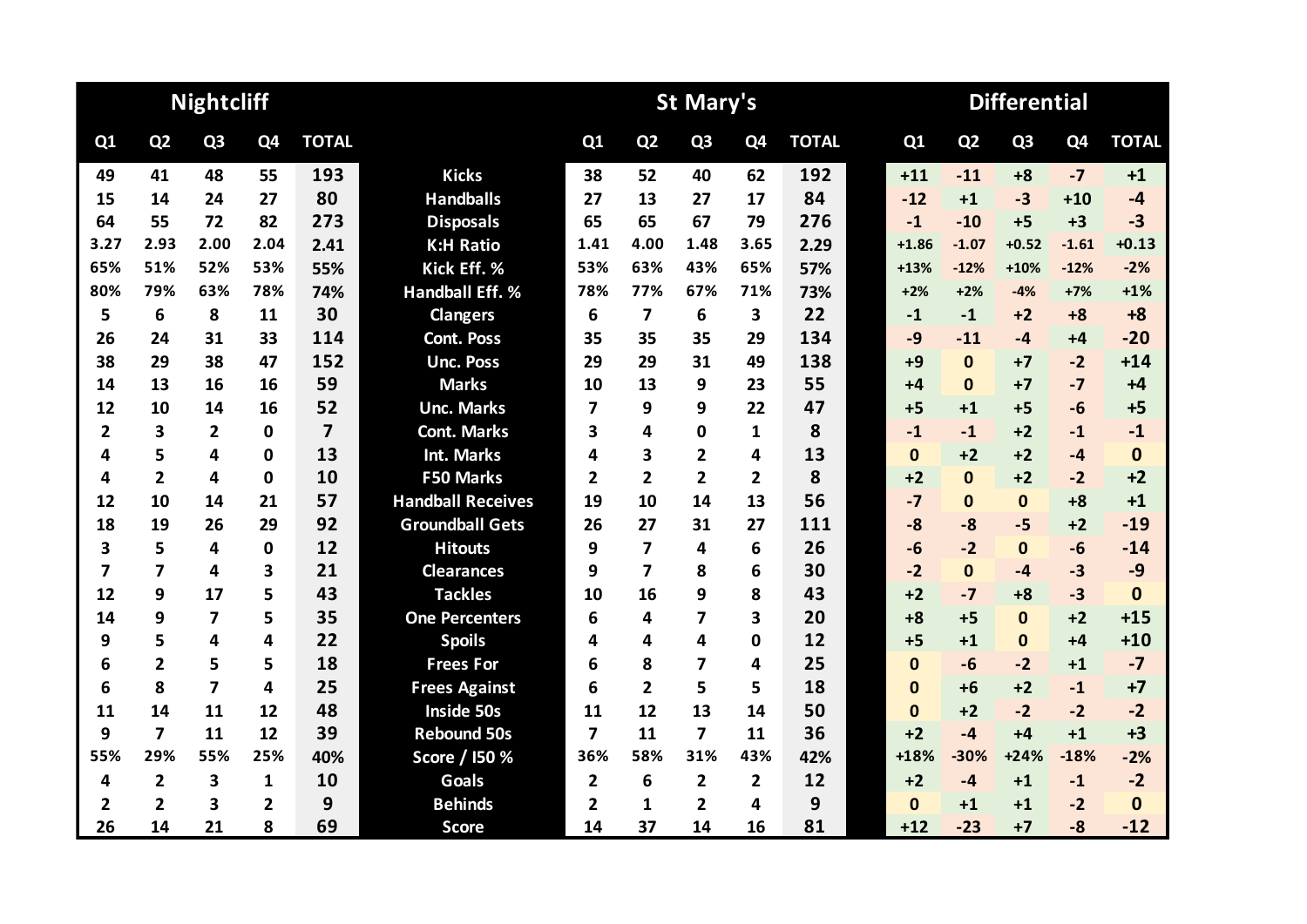|                |                | <b>Nightcliff</b>       |              |                         |                          | <b>St Mary's</b>        |                         |                |                |              |  |              | <b>Differential</b> |                |                |              |  |  |  |
|----------------|----------------|-------------------------|--------------|-------------------------|--------------------------|-------------------------|-------------------------|----------------|----------------|--------------|--|--------------|---------------------|----------------|----------------|--------------|--|--|--|
| Q1             | Q <sub>2</sub> | Q <sub>3</sub>          | Q4           | <b>TOTAL</b>            |                          | Q1                      | Q <sub>2</sub>          | Q <sub>3</sub> | Q <sub>4</sub> | <b>TOTAL</b> |  | Q1           | Q <sub>2</sub>      | Q <sub>3</sub> | Q <sub>4</sub> | <b>TOTAL</b> |  |  |  |
| 49             | 41             | 48                      | 55           | 193                     | <b>Kicks</b>             | 38                      | 52                      | 40             | 62             | 192          |  | $+11$        | $-11$               | $+8$           | $-7$           | $+1$         |  |  |  |
| 15             | 14             | 24                      | 27           | 80                      | <b>Handballs</b>         | 27                      | 13                      | 27             | 17             | 84           |  | $-12$        | $+1$                | $-3$           | $+10$          | $-4$         |  |  |  |
| 64             | 55             | 72                      | 82           | 273                     | <b>Disposals</b>         | 65                      | 65                      | 67             | 79             | 276          |  | $-1$         | $-10$               | $+5$           | $+3$           | $-3$         |  |  |  |
| 3.27           | 2.93           | 2.00                    | 2.04         | 2.41                    | <b>K:H Ratio</b>         | 1.41                    | 4.00                    | 1.48           | 3.65           | 2.29         |  | $+1.86$      | $-1.07$             | $+0.52$        | $-1.61$        | $+0.13$      |  |  |  |
| 65%            | 51%            | 52%                     | 53%          | 55%                     | Kick Eff. %              | 53%                     | 63%                     | 43%            | 65%            | 57%          |  | $+13%$       | $-12%$              | $+10%$         | $-12%$         | $-2%$        |  |  |  |
| 80%            | 79%            | 63%                     | 78%          | 74%                     | <b>Handball Eff. %</b>   | 78%                     | 77%                     | 67%            | 71%            | 73%          |  | $+2%$        | $+2%$               | $-4%$          | $+7%$          | $+1%$        |  |  |  |
| 5              | 6              | 8                       | 11           | 30                      | <b>Clangers</b>          | 6                       | $\overline{\mathbf{z}}$ | 6              | 3              | 22           |  | $-1$         | $-1$                | $+2$           | $+8$           | $+8$         |  |  |  |
| 26             | 24             | 31                      | 33           | 114                     | <b>Cont. Poss</b>        | 35                      | 35                      | 35             | 29             | 134          |  | $-9$         | $-11$               | $-4$           | $+4$           | $-20$        |  |  |  |
| 38             | 29             | 38                      | 47           | 152                     | <b>Unc. Poss</b>         | 29                      | 29                      | 31             | 49             | 138          |  | $+9$         | $\mathbf{0}$        | $+7$           | $-2$           | $+14$        |  |  |  |
| 14             | 13             | 16                      | 16           | 59                      | <b>Marks</b>             | 10                      | 13                      | 9              | 23             | 55           |  | $+4$         | $\Omega$            | $+7$           | $-7$           | $+4$         |  |  |  |
| 12             | 10             | 14                      | 16           | 52                      | <b>Unc. Marks</b>        | $\overline{\mathbf{z}}$ | 9                       | 9              | 22             | 47           |  | $+5$         | $+1$                | $+5$           | $-6$           | $+5$         |  |  |  |
| $\overline{2}$ | 3              | $\overline{2}$          | 0            | $\overline{\mathbf{z}}$ | <b>Cont. Marks</b>       | 3                       | 4                       | 0              | 1              | 8            |  | $-1$         | $-1$                | $+2$           | $-1$           | $-1$         |  |  |  |
| 4              | 5              | 4                       | 0            | 13                      | <b>Int. Marks</b>        | 4                       | 3                       | $\overline{2}$ | 4              | 13           |  | $\mathbf{0}$ | $+2$                | $+2$           | $-4$           | $\mathbf 0$  |  |  |  |
| 4              | $\overline{2}$ | 4                       | 0            | 10                      | <b>F50 Marks</b>         | $\overline{2}$          | $\overline{2}$          | $\overline{2}$ | $\mathbf{2}$   | 8            |  | $+2$         | $\Omega$            | $+2$           | $-2$           | $+2$         |  |  |  |
| 12             | 10             | 14                      | 21           | 57                      | <b>Handball Receives</b> | 19                      | 10                      | 14             | 13             | 56           |  | $-7$         | $\Omega$            | $\Omega$       | $+8$           | $+1$         |  |  |  |
| 18             | 19             | 26                      | 29           | 92                      | <b>Groundball Gets</b>   | 26                      | 27                      | 31             | 27             | 111          |  | $-8$         | $-8$                | $-5$           | $+2$           | $-19$        |  |  |  |
| 3              | 5              | 4                       | 0            | 12                      | <b>Hitouts</b>           | 9                       | $\overline{\mathbf{z}}$ | 4              | 6              | 26           |  | $-6$         | $-2$                | $\mathbf{0}$   | $-6$           | $-14$        |  |  |  |
| 7              | 7              | 4                       | 3            | 21                      | <b>Clearances</b>        | 9                       | 7                       | 8              | 6              | 30           |  | $-2$         | $\Omega$            | $-4$           | $-3$           | $-9$         |  |  |  |
| 12             | 9              | 17                      | 5            | 43                      | <b>Tackles</b>           | 10                      | 16                      | 9              | 8              | 43           |  | $+2$         | $-7$                | $+8$           | $-3$           | $\bf{0}$     |  |  |  |
| 14             | 9              | $\overline{\mathbf{z}}$ | 5            | 35                      | <b>One Percenters</b>    | 6                       | 4                       | 7              | 3              | 20           |  | $+8$         | $+5$                | $\mathbf{0}$   | $+2$           | $+15$        |  |  |  |
| 9              | 5              | 4                       | 4            | 22                      | <b>Spoils</b>            | 4                       | 4                       | 4              | 0              | 12           |  | $+5$         | $+1$                | $\mathbf{0}$   | $+4$           | $+10$        |  |  |  |
| 6              | $\overline{2}$ | 5                       | 5            | 18                      | <b>Frees For</b>         | 6                       | 8                       | 7              | 4              | 25           |  | $\mathbf{0}$ | $-6$                | $-2$           | $+1$           | $-7$         |  |  |  |
| 6              | 8              | $\overline{7}$          | 4            | 25                      | <b>Frees Against</b>     | 6                       | $\overline{2}$          | 5              | 5              | 18           |  | $\mathbf{0}$ | $+6$                | $+2$           | $-1$           | $+7$         |  |  |  |
| 11             | 14             | 11                      | 12           | 48                      | <b>Inside 50s</b>        | 11                      | 12                      | 13             | 14             | 50           |  | $\Omega$     | $+2$                | $-2$           | $-2$           | $-2$         |  |  |  |
| 9              | $\overline{7}$ | 11                      | 12           | 39                      | <b>Rebound 50s</b>       | $\overline{\mathbf{z}}$ | 11                      | 7              | 11             | 36           |  | $+2$         | $-4$                | $+4$           | $+1$           | $+3$         |  |  |  |
| 55%            | 29%            | 55%                     | 25%          | 40%                     | Score / I50 %            | 36%                     | 58%                     | 31%            | 43%            | 42%          |  | +18%         | $-30%$              | $+24%$         | $-18%$         | $-2%$        |  |  |  |
| 4              | 2              | $\overline{\mathbf{3}}$ | $\mathbf{1}$ | 10                      | <b>Goals</b>             | $\overline{2}$          | 6                       | $\overline{2}$ | $\overline{2}$ | 12           |  | $+2$         | $-4$                | $+1$           | $-1$           | $-2$         |  |  |  |
| 2              | $\overline{2}$ | 3                       | $\mathbf{2}$ | 9                       | <b>Behinds</b>           | $\overline{2}$          | 1                       | $\overline{2}$ | 4              | 9            |  | $\bf{0}$     | $+1$                | $+1$           | $-2$           | $\mathbf{0}$ |  |  |  |
| 26             | 14             | 21                      | 8            | 69                      | <b>Score</b>             | 14                      | 37                      | 14             | 16             | 81           |  | $+12$        | $-23$               | $+7$           | $-8$           | $-12$        |  |  |  |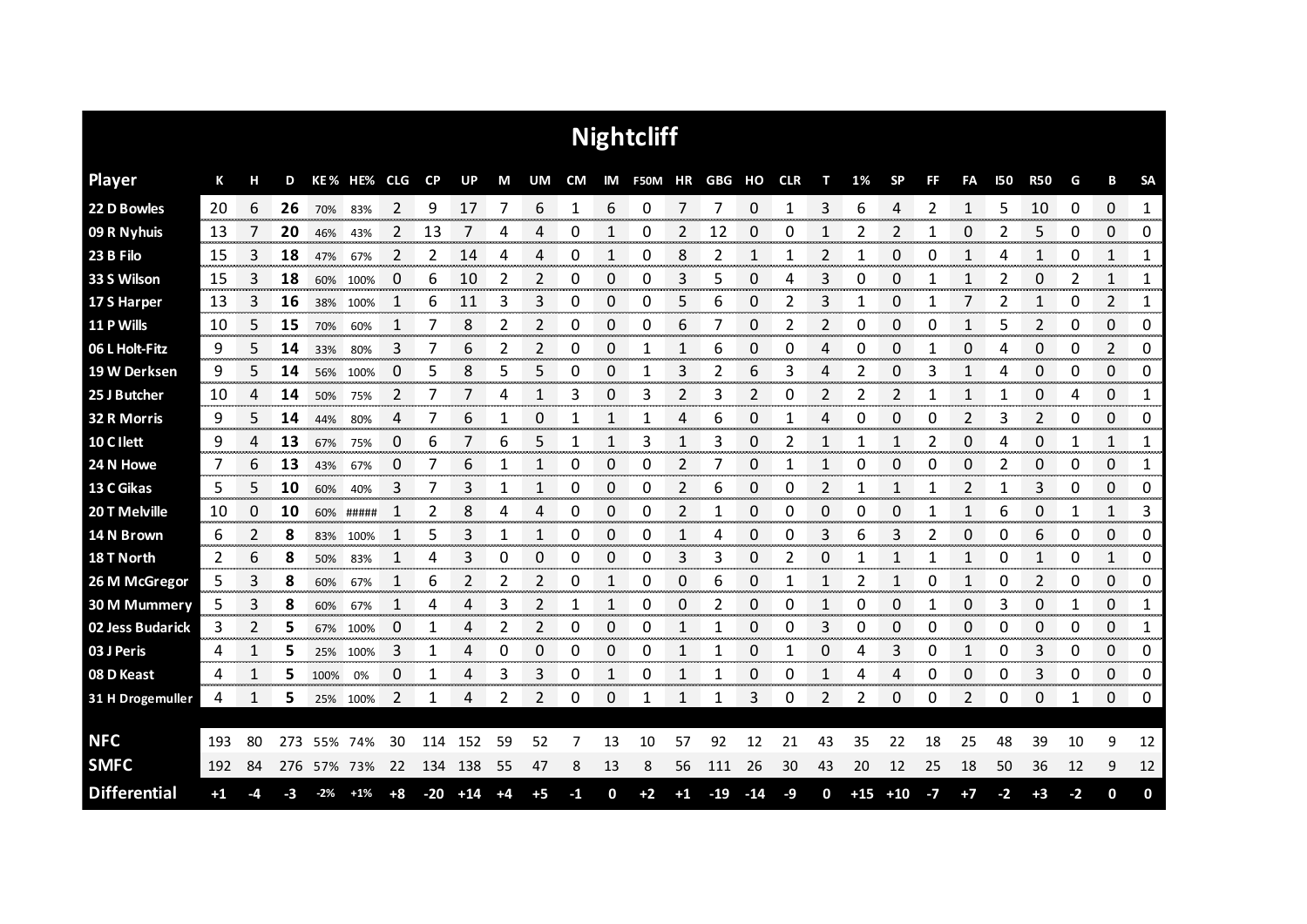|                     |      |    |     |       |             |                                   |       |                          |             |                      |           |                        | <b>Nightcliff</b>     |                |                   |                 |      |                        |       |                           |      |                |              |                             |      |                         |                      |
|---------------------|------|----|-----|-------|-------------|-----------------------------------|-------|--------------------------|-------------|----------------------|-----------|------------------------|-----------------------|----------------|-------------------|-----------------|------|------------------------|-------|---------------------------|------|----------------|--------------|-----------------------------|------|-------------------------|----------------------|
| <b>Player</b>       | К    | н  | D   |       | KE% HE% CLG |                                   | CP    | UP                       | M           | UM                   | <b>CM</b> |                        | IM F50M HR GBG HO CLR |                |                   |                 |      | т                      | 1%    | <b>SP</b>                 | FF   | FA             | 150          | <b>R50</b>                  | G    | В                       | <b>SA</b>            |
| 22 D Bowles         | 20   | 6  | 26  | 70%   | 83%         | 2                                 | 9     | 17                       | 7           | 6                    | 1         | 6                      | 0                     | 7              | 7                 | $\Omega$        | 1    | 3                      | 6     | 4                         | 2    | 1              | 5            | 10                          | 0    | $\Omega$                | $\mathbf{1}$         |
| 09 R Nyhuis         | 13   |    | 20  | 46%   | 43%         | 2                                 | 13    |                          | 4           | 4                    | 0         |                        | 0                     | 2              | 12                | 0               | 0    | 1                      | 2     | 2                         |      | 0              | 2            | 5                           | 0    | 0                       | 0                    |
| 23 B Filo           | 15   | 3  | 18  | 47%   | 67%         | 2                                 | 2     | 14                       | 4           | 4                    | 0         | 1                      | 0                     | 8              | 2                 | 1               | 1    | 2                      | 1     | 0                         | 0    | 1              | 4            | 1                           | 0    | $\mathbf{1}$            | 1                    |
| 33 S Wilson         | 15   | 3  | 18  | 60%   | 100%        | 0                                 | 6     | 10                       | 2           | 2                    | 0         | 0                      | 0                     | 3              | 5                 | 0               | 4    | 3                      | 0     | 0                         | 1    | 1              | 2            | 0                           | 2    | 1                       | 1                    |
| 17 S Harper         | 13   | 3  | 16  | 38%   | 100%        | 1                                 | 6     | 11                       | 3           | 3                    | 0         | 0                      | $\mathsf 0$           | 5              | 6                 | 0               | 2    | 3                      | 1     | 0                         | 1    | 7              | 2            | $\mathbf{1}$                | 0    | $\overline{2}$          | 1                    |
| 11 P Wills          | 10   | 5  | 15  | 70%   | 60%         | 1                                 | 7     | 8                        | 2           | 2                    | 0         | 0                      | 0                     | 6              | 7                 | 0               | 2    | 2                      | 0     | 0                         | 0    | 1              | 5            | 2                           | 0    | 0                       | 0                    |
| 06 L Holt-Fitz      | 9    | 5  | 14  | 33%   | 80%         | 3                                 | 7     | 6                        | 2           | 2                    | 0         | 0                      | 1                     | $\mathbf{1}$   | 6                 | 0               | 0    | 4                      | 0     | 0                         | 1    | 0              | 4            | 0                           | 0    | $\overline{2}$          | 0                    |
| 19 W Derksen        | 9    | 5  | 14  | 56%   | 100%        | 0                                 | 5     | 8                        | 5           | 5                    | 0         | 0                      | 1                     | 3              | 2                 | 6               | 3    | 4                      | 2     | 0                         | 3    | 1              | 4            | 0                           | 0    | 0                       | 0                    |
| 25 J Butcher        | 10   | 4  | 14  | 50%   | 75%         | $\overline{2}$                    | 7     | 7                        | 4           | 1                    | 3         | 0                      | 3                     | $\overline{2}$ | 3                 | 2               | 0    | 2                      | 2     | $\overline{2}$            | 1    | 1              | 1            | 0                           | 4    | 0                       | $\mathbf{1}$         |
| 32 R Morris         | 9    | 5. | 14  | 44%   | 80%         | 4                                 | 7     | 6                        | 1           | 0                    | 1         | 1                      | 1                     | 4              | 6                 | 0               | 1    | 4                      | 0     | 0                         | 0    | 2              | 3            | 2                           | 0    | 0                       | 0                    |
| 10 C I lett         | 9    | 4  | 13  | 67%   | 75%         | 0                                 | 6     |                          | 6           | 5                    | 1         | 1                      | 3                     | 1              | 3                 | 0               | 2    | 1                      |       | 1                         | 2    | 0              | 4            | 0                           | 1    | 1                       | 1                    |
| 24 N Howe           | 7    | 6  | 13  | 43%   | 67%         | 0                                 |       | 6                        | 1           | 1                    | 0         | 0                      | 0                     | 2              | 7                 | 0               |      | 1                      | 0     | 0                         | 0    | 0              | 2            | 0                           | 0    | 0                       | 1                    |
| 13 C Gikas          | 5    | 5  | 10  | 60%   | 40%         | 3                                 | 7     | 3                        | 1           | 1                    | 0         | 0                      | 0                     | $\overline{2}$ | 6                 | 0               | 0    | 2                      | 1     | $\mathbf{1}$              | 1    | $\overline{2}$ | $\mathbf{1}$ | 3                           | 0    | $\Omega$                | 0                    |
| 20 T Melville       | 10   | 0  | 10  | 60%   | #####       |                                   | 2     | 8                        | 4           | 4                    | 0         | 0                      | 0                     | 2              |                   | 0               | 0    | 0                      | 0     | 0                         |      | 1              | 6            | 0                           | 1    | 1                       | 3<br>                |
| 14 N Brown          | 6    | 2  | 8   | 83%   | 100%        |                                   | 5     | 3                        | 1           |                      | 0         | 0<br>mana mana         | 0                     |                | 4                 | 0<br>an mara    | 0    | 3                      | 6     | 3                         | 2    | 0              | 0            | 6<br><b>Services</b>        | 0    | 0<br>an mara            | 0                    |
| 18 T North          | 2    | 6  | 8   | 50%   | 83%         | ----------------                  | 4     | 3<br><b>CONCORDINATI</b> | O           | 0                    | 0         | 0<br><b>CONTRACTOR</b> | 0                     | 3              | 3<br><b>STORY</b> | 0               |      | O                      |       |                           |      |                | Ω            | mananan a                   | O    | 1                       | 0<br>mananana manana |
| 26 M McGregor       | 5    | 3  | 8   | 60%   | 67%         | 1<br>------------                 | 6     | 2                        | 2           | 2                    | 0         | 1                      | 0                     | 0<br>ana ana   | 6                 | 0<br>an an an a | 1    | ana amin'ny            | 2     |                           | 0    | 1              | 0            | 2<br>anan men               | 0    | 0<br><b>Territoria</b>  | 0<br>ana amin'ny     |
| 30 M Mummery        | 5    | 3  | 8   | 60%   | 67%         |                                   | 4     |                          | 3           |                      |           |                        | 0                     | 0              | 2                 | 0               | 0    |                        | 0     | O                         |      | 0              | 3            | 0                           |      | 0                       | 1                    |
| 02 Jess Budarick    | 3    | 2  | 5   | 67%   | 100%        | 0                                 | 1     | 4                        | 2           | 2                    | 0         | 0                      | 0                     | 1              |                   | 0               | 0    | 3                      | 0     | 0                         | 0    | 0              | 0            | 0                           | 0    | 0                       | 1                    |
| 03 J Peris          | 4    |    | 5   |       | 25% 100%    | 3<br>---------------------------- | 1     | Δ<br>-----------         | 0<br>ananan | 0<br><b>TOO COOL</b> | 0         | 0<br><b>CONTRACTOR</b> | 0                     | 1              |                   | 0<br>manan a    | 1    | 0<br><b>CONTRACTOR</b> | 4     | 3<br><b>TOTAL CONTROL</b> | 0    | 1              | 0            | 3<br><b>TOTAL CONTINUES</b> | 0    | 0<br><b>TO CONTRACT</b> | 0<br>mmmmm           |
| 08 D Keast          | 4    |    | 5   | 100%  | 0%          | 0                                 | 1     | 4                        | 3           | 3                    | 0         | 1                      | 0                     |                |                   | 0               | 0    |                        | 4     | 4                         | 0    | 0<br>na mara   | 0            | 3                           | 0    | 0                       | 0<br>nomen en        |
| 31 H Drogemuller    | 4    | 1  | 5   |       | 25% 100%    | 2                                 | 1     | 4                        | 2           | 2                    | 0         | 0                      | 1                     | 1              |                   | 3               | 0    | 2                      | 2     | 0                         | 0    | 2              | 0            | 0                           | 1    | 0                       | 0                    |
|                     |      |    |     |       |             |                                   |       |                          |             |                      |           |                        |                       |                |                   |                 |      |                        |       |                           |      |                |              |                             |      |                         |                      |
| <b>NFC</b>          | 193  | 80 | 273 |       | 55% 74%     | 30                                | 114   | 152                      | 59          | 52                   | 7         | 13                     | 10                    | 57             | 92                | 12              | 21   | 43                     | 35    | 22                        | 18   | 25             | 48           | 39                          | 10   | 9                       | 12                   |
| <b>SMFC</b>         | 192  | 84 | 276 |       | 57% 73%     | 22                                | 134   | 138                      | 55          | 47                   | 8         | 13                     | 8                     | 56             | 111               | 26              | 30   | 43                     | 20    | 12                        | 25   | 18             | 50           | 36                          | 12   | 9                       | 12                   |
| <b>Differential</b> | $+1$ | -4 | -3  | $-2%$ | $+1%$       | $+8$                              | $-20$ | $+14$                    | $+4$        | $+5$                 | $-1$      | 0                      | $+2$                  | $+1$           | $-19$             | $-14$           | $-9$ | 0                      | $+15$ | $+10$                     | $-7$ | $+7$           | $-2$         | $+3$                        | $-2$ | 0                       | $\mathbf 0$          |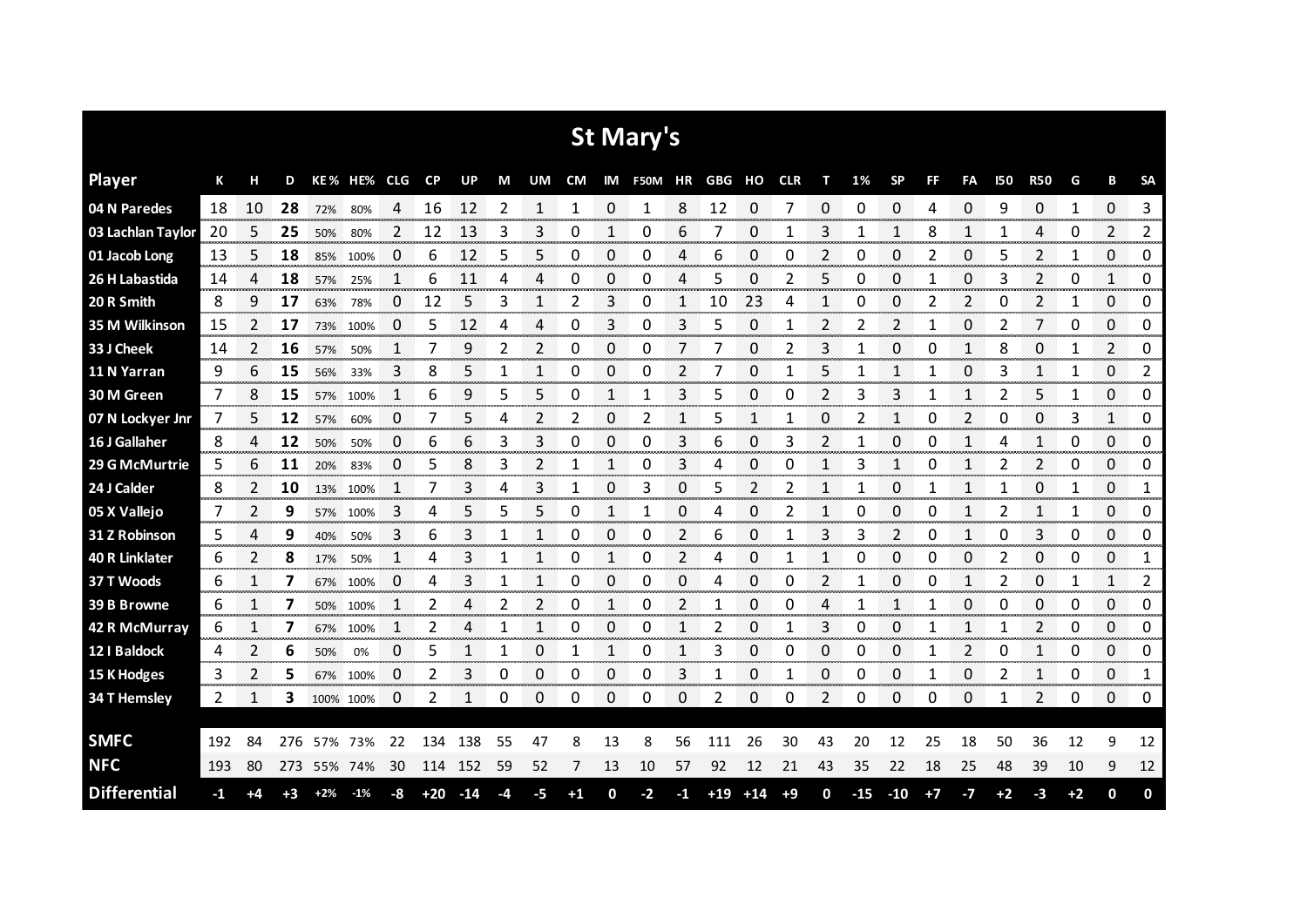|                       |      |    |      |             |             |    |       |              |      |              |      |              | <b>St Mary's</b> |              |            |             |      |    |       |             |      |                |            |              |      |          |           |
|-----------------------|------|----|------|-------------|-------------|----|-------|--------------|------|--------------|------|--------------|------------------|--------------|------------|-------------|------|----|-------|-------------|------|----------------|------------|--------------|------|----------|-----------|
| <b>Player</b>         | К    | н  | D    |             | KE% HE% CLG |    | CP    | <b>UP</b>    | M    | UM           | CM   |              | IM F50M HR       |              | GBG HO CLR |             |      | т  | 1%    | <b>SP</b>   | FF   | FA             | <b>I50</b> | <b>R50</b>   | G    | B        | <b>SA</b> |
| 04 N Paredes          | 18   | 10 | 28   | 72%         | 80%         | 4  | 16    | 12           | 2    | $\mathbf{1}$ | 1    | $\Omega$     | 1                | 8            | 12         | 0           | 7    | 0  | 0     | $\mathbf 0$ | 4    | 0              | 9          | 0            | 1    | $\Omega$ | 3         |
| 03 Lachlan Taylor     | 20   | 5  | 25   | 50%         | 80%         | 2  | 12    | 13           | 3    | 3            | 0    | 1            | 0                | 6            |            | 0           |      | 3  |       | 1           | 8    | 1              | 1          | 4            | 0    | 2        | 2         |
| 01 Jacob Long         | 13   | 5  | 18   | 85%         | 100%        | 0  | 6     | 12           | 5    | 5            | 0    | 0            | 0                | 4            | 6          | 0           | 0    | 2  | 0     | 0           | 2    | 0              | 5          | 2            | 1    | 0        | 0         |
| 26 H Labastida        | 14   | 4  | 18   | 57%         | 25%         | 1  | 6     | 11           | 4    | 4            | 0    | 0            | 0                | 4            | 5          | 0           | 2    | 5  | 0     | 0           | 1    | 0              | 3          | 2            | 0    | 1        | 0         |
| 20 R Smith            | 8    | 9  | 17   | 63%         | 78%         | 0  | 12    | 5            | 3    | 1            | 2    | 3            | 0                | 1            | 10         | 23          | 4    | 1  | 0     | $\mathbf 0$ | 2    | $\overline{2}$ | 0          | 2            | 1    | 0        | 0         |
| 35 M Wilkinson        | 15   | 2  | 17   | 73%         | 100%        | 0  | 5     | 12           | 4    | 4            | 0    | 3            | 0                | 3            | 5          | 0           |      | 2  | 2     | 2           | 1    | 0              | 2          | 7            | 0    | 0        | 0         |
| 33 J Cheek            | 14   | 2  | 16   | 57%         | 50%         | 1  | 7     | 9            | 2    | 2            | 0    | 0            | 0                | 7            |            | 0           | 2    | 3  |       | 0           | 0    | 1              | 8          | 0            | 1    | 2        | 0         |
| 11 N Yarran           | 9    | 6  | 15   | 56%         | 33%         | 3  | 8     | 5            | 1    | 1            | 0    | 0            | 0                | 2            |            | 0           |      | 5  | 1     | 1           | 1    | 0              | 3          | 1            | 1    | 0        | 2         |
| 30 M Green            | 7    | 8  | 15   | 57%         | 100%        | 1  | 6     | 9            | 5    | 5            | 0    | 1            | 1                | 3            | 5          | 0           | 0    | 2  | 3     | 3           | 1    | 1              | 2          | 5            | 1    | 0        | 0         |
| 07 N Lockyer Jnr      | 7    | 5  | 12   | 57%         | 60%         | 0  | 7     | 5            | 4    | 2            | 2    | 0            | 2                | 1            | 5          | 1           |      | 0  | 2     | 1           | 0    | 2              | 0          | 0            | 3    | 1        | 0         |
| 16 J Gallaher         | 8    | 4  | 12   | 50%         | 50%         | 0  | 6     | 6            | 3    | 3            | 0    | 0            | 0                | 3            | 6          | 0           | 3    | 2  | 1     | 0           | 0    | 1              | 4          | 1            | 0    | 0        | 0         |
| 29 G McMurtrie        | 5    | 6  | 11   | 20%         | 83%         | 0  | 5     | 8            | 3    | 2            | 1    | 1            | 0                | 3            | 4          | 0           | 0    | 1  | 3     | 1           | 0    | 1              | 2          | 2            | 0    | 0        | 0         |
| 24 J Calder           | 8    | 2  | 10   |             | 13% 100%    | 1  | 7     | 3            | 4    | 3            | 1    | $\Omega$     | 3                | 0            | 5          | 2           | 2    | 1  | 1     | $\Omega$    | 1    | $\mathbf{1}$   | 1          | $\Omega$     | 1    | 0        | 1         |
| 05 X Vallejo          | 7    | 2  | 9    |             | 57% 100%    | 3  | 4     | 5            | 5    | 5            | 0    | $\mathbf{1}$ | 1                | 0            | 4          | 0           | 2    | 1  | 0     | $\Omega$    | 0    | 1              | 2          | $\mathbf{1}$ | 1    | 0        | 0         |
| 31 Z Robinson         | 5    | 4  | 9    | 40%         | 50%         | 3  | 6     | 3            | 1    | 1            | 0    | 0            | 0                | 2            | 6          | 0           | 1    | 3  | 3     | 2           | 0    | 1              | 0          | 3            | 0    | 0        | 0         |
| <b>40 R Linklater</b> | 6    | 2  | 8    | 17%         | 50%         | 1  | 4     | 3            | 1    | 1            | 0    | 1            | 0                | 2            | 4          | 0           | 1    | 1  | 0     | 0           | 0    | 0              | 2          | 0            | 0    | 0        | 1         |
| 37 T Woods            | 6    | 1  | 7    | 67%         | 100%        | 0  | 4     | 3            | 1    | $\mathbf{1}$ | 0    | 0            | $\mathbf 0$      | 0            | 4          | 0           | 0    | 2  | 1     | $\mathbf 0$ | 0    | $\mathbf{1}$   | 2          | 0            | 1    | 1        | 2         |
| 39 B Browne           | 6    | 1  | 7    | 50%         | 100%        | 1  | 2     | 4            | 2    | 2            | 0    | 1            | 0                | 2            | 1          | 0           | 0    | 4  | 1     | 1           | 1    | 0              | 0          | 0            | 0    | 0        | 0         |
| 42 R McMurray         | 6    | 1  | 7    | 67%         | 100%        | 1  | 2     | 4            | 1    | 1            | 0    | 0            | 0                | $\mathbf{1}$ | 2          | 0           | 1    | 3  | 0     | 0           | 1    | $\mathbf{1}$   | 1          | 2            | 0    | 0        | 0         |
| 12   Baldock          | 4    | 2  | 6    | 50%         | 0%          | 0  | 5     | 1            | 1    | 0            | 1    | 1            | 0                | 1            | 3          | 0           | 0    | 0  | 0     | 0           |      | 2              | 0          | 1            | 0    | 0        | 0         |
| 15 K Hodges           | 3    | 2  | 5    | 67%         | 100%        | 0  | 2     | 3            | 0    | 0            | 0    | 0            | 0                | 3            | 1          | 0           | 1    | 0  | 0     | 0           | 1    | 0              | 2          | 1            | 0    | 0        | 1         |
| <b>34 T Hemsley</b>   | 2    | 1  | 3    | 100% 100%   |             | 0  | 2     | $\mathbf{1}$ | 0    | 0            | 0    | 0            | 0                | 0            | 2          | 0           | 0    | 2  | 0     | $\Omega$    | 0    | 0              | 1          | 2            | 0    | 0        | 0         |
|                       |      |    |      |             |             |    |       |              |      |              |      |              |                  |              |            |             |      |    |       |             |      |                |            |              |      |          |           |
| <b>SMFC</b>           | 192  | 84 | 276  | 57% 73%     |             | 22 | 134   | 138          | 55   | 47           | 8    | 13           | 8                | 56           | 111        | 26          | 30   | 43 | 20    | 12          | 25   | 18             | 50         | 36           | 12   | 9        | 12        |
| <b>NFC</b>            | 193  | 80 |      | 273 55% 74% |             | 30 | 114   | 152          | 59   | 52           | 7    | 13           | 10               | 57           | 92         | 12          | 21   | 43 | 35    | 22          | 18   | 25             | 48         | 39           | 10   | 9        | 12        |
| <b>Differential</b>   | $-1$ | +4 | $+3$ | $+2%$       | $-1%$       | -8 | $+20$ | $-14$        | $-4$ | -5           | $+1$ | 0            | $-2$             | $-1$         |            | $+19$ $+14$ | $+9$ | 0  | $-15$ | $-10$       | $+7$ | -7             | $+2$       | -3           | $+2$ | 0        | 0         |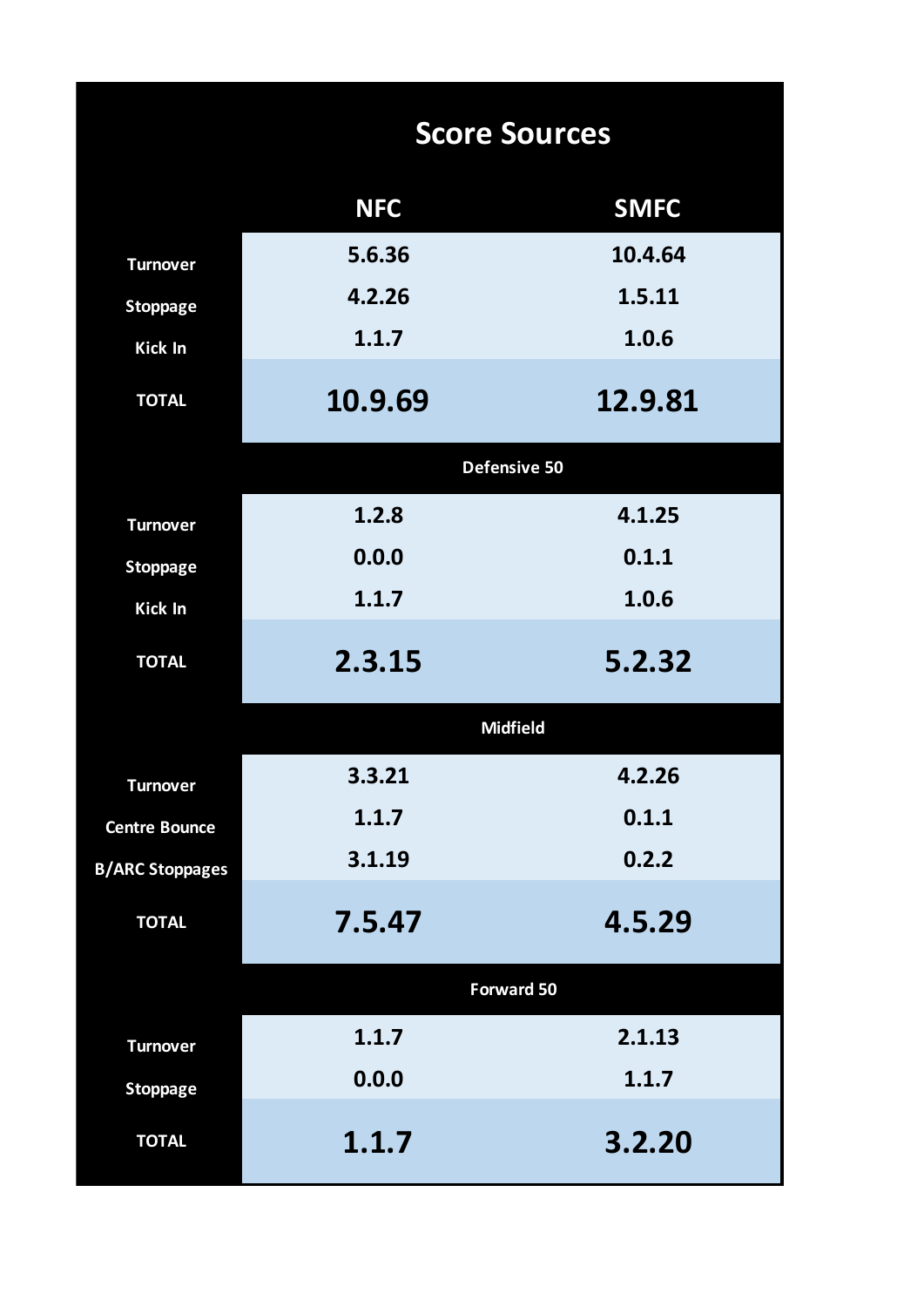|                        |            | <b>Score Sources</b> |
|------------------------|------------|----------------------|
|                        | <b>NFC</b> | <b>SMFC</b>          |
| <b>Turnover</b>        | 5.6.36     | 10.4.64              |
| <b>Stoppage</b>        | 4.2.26     | 1.5.11               |
| Kick In                | 1.1.7      | 1.0.6                |
| <b>TOTAL</b>           | 10.9.69    | 12.9.81              |
|                        |            | Defensive 50         |
| <b>Turnover</b>        | 1.2.8      | 4.1.25               |
| <b>Stoppage</b>        | 0.0.0      | 0.1.1                |
| Kick In                | 1.1.7      | 1.0.6                |
| <b>TOTAL</b>           | 2.3.15     | 5.2.32               |
|                        |            | <b>Midfield</b>      |
| <b>Turnover</b>        | 3.3.21     | 4.2.26               |
| <b>Centre Bounce</b>   | 1.1.7      | 0.1.1                |
| <b>B/ARC Stoppages</b> | 3.1.19     | 0.2.2                |
| <b>TOTAL</b>           | 7.5.47     | 4.5.29               |
|                        |            | <b>Forward 50</b>    |
| <b>Turnover</b>        | 1.1.7      | 2.1.13               |
| <b>Stoppage</b>        | 0.0.0      | 1.1.7                |
| <b>TOTAL</b>           | 1.1.7      | 3.2.20               |